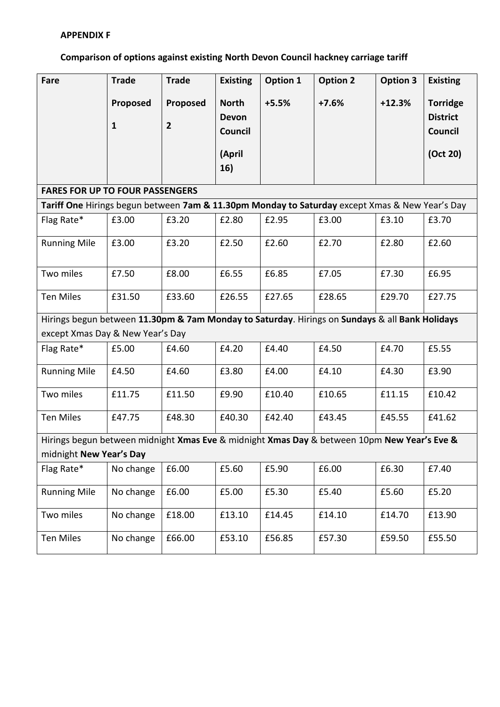## **APPENDIX F**

## **Comparison of options against existing North Devon Council hackney carriage tariff**

| Fare                                                                                           | <b>Trade</b> | <b>Trade</b>   | <b>Existing</b> | <b>Option 1</b> | <b>Option 2</b> | <b>Option 3</b> | <b>Existing</b> |  |  |  |  |  |  |
|------------------------------------------------------------------------------------------------|--------------|----------------|-----------------|-----------------|-----------------|-----------------|-----------------|--|--|--|--|--|--|
|                                                                                                | Proposed     | Proposed       | <b>North</b>    | $+5.5%$         | $+7.6%$         | $+12.3%$        | <b>Torridge</b> |  |  |  |  |  |  |
|                                                                                                |              |                | Devon           |                 |                 |                 | <b>District</b> |  |  |  |  |  |  |
|                                                                                                | $\mathbf{1}$ | $\overline{2}$ | Council         |                 |                 |                 | Council         |  |  |  |  |  |  |
|                                                                                                |              |                | (April          |                 |                 |                 | (Oct 20)        |  |  |  |  |  |  |
|                                                                                                |              |                | 16)             |                 |                 |                 |                 |  |  |  |  |  |  |
| <b>FARES FOR UP TO FOUR PASSENGERS</b>                                                         |              |                |                 |                 |                 |                 |                 |  |  |  |  |  |  |
| Tariff One Hirings begun between 7am & 11.30pm Monday to Saturday except Xmas & New Year's Day |              |                |                 |                 |                 |                 |                 |  |  |  |  |  |  |
| Flag Rate*                                                                                     | £3.00        | £3.20          | £2.80           | £2.95           | £3.00           | £3.10           | £3.70           |  |  |  |  |  |  |
| <b>Running Mile</b>                                                                            | £3.00        | £3.20          | £2.50           | £2.60           | £2.70           | £2.80           | £2.60           |  |  |  |  |  |  |
| Two miles                                                                                      | £7.50        | £8.00          | £6.55           | £6.85           | £7.05           | £7.30           | £6.95           |  |  |  |  |  |  |
| <b>Ten Miles</b>                                                                               | £31.50       | £33.60         | £26.55          | £27.65          | £28.65          | £29.70          | £27.75          |  |  |  |  |  |  |
| Hirings begun between 11.30pm & 7am Monday to Saturday. Hirings on Sundays & all Bank Holidays |              |                |                 |                 |                 |                 |                 |  |  |  |  |  |  |
| except Xmas Day & New Year's Day                                                               |              |                |                 |                 |                 |                 |                 |  |  |  |  |  |  |
| Flag Rate*                                                                                     | £5.00        | £4.60          | £4.20           | £4.40           | £4.50           | £4.70           | £5.55           |  |  |  |  |  |  |
| <b>Running Mile</b>                                                                            | £4.50        | £4.60          | £3.80           | £4.00           | £4.10           | £4.30           | £3.90           |  |  |  |  |  |  |
| Two miles                                                                                      | £11.75       | £11.50         | £9.90           | £10.40          | £10.65          | £11.15          | £10.42          |  |  |  |  |  |  |
| <b>Ten Miles</b>                                                                               | £47.75       | £48.30         | £40.30          | £42.40          | £43.45          | £45.55          | £41.62          |  |  |  |  |  |  |
| Hirings begun between midnight Xmas Eve & midnight Xmas Day & between 10pm New Year's Eve &    |              |                |                 |                 |                 |                 |                 |  |  |  |  |  |  |
| midnight New Year's Day                                                                        |              |                |                 |                 |                 |                 |                 |  |  |  |  |  |  |
| Flag Rate*                                                                                     | No change    | £6.00          | £5.60           | £5.90           | £6.00           | £6.30           | £7.40           |  |  |  |  |  |  |
| <b>Running Mile</b>                                                                            | No change    | £6.00          | £5.00           | £5.30           | £5.40           | £5.60           | £5.20           |  |  |  |  |  |  |
| Two miles                                                                                      | No change    | £18.00         | £13.10          | £14.45          | £14.10          | £14.70          | £13.90          |  |  |  |  |  |  |
| Ten Miles                                                                                      | No change    | £66.00         | £53.10          | £56.85          | £57.30          | £59.50          | £55.50          |  |  |  |  |  |  |